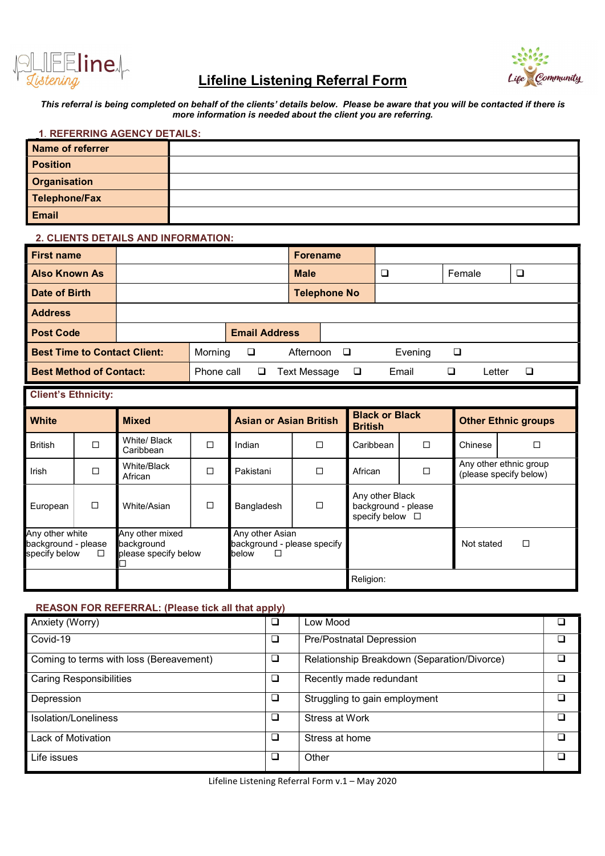



# Lifeline Listening Referral Form Life Community

This referral is being completed on behalf of the clients' details below. Please be aware that you will be contacted if there is more information is needed about the client you are referring.

| <b>1. REFERRING AGENCY DETAILS:</b> |  |  |  |  |  |  |  |
|-------------------------------------|--|--|--|--|--|--|--|
| <b>Name of referrer</b>             |  |  |  |  |  |  |  |
| <b>Position</b>                     |  |  |  |  |  |  |  |
| <b>Organisation</b>                 |  |  |  |  |  |  |  |
| Telephone/Fax                       |  |  |  |  |  |  |  |
| <b>Email</b>                        |  |  |  |  |  |  |  |

# 2. CLIENTS DETAILS AND INFORMATION:

| <b>First name</b>                                 |  |              |                      | Forename            |             |         |        |  |   |
|---------------------------------------------------|--|--------------|----------------------|---------------------|-------------|---------|--------|--|---|
| <b>Also Known As</b>                              |  |              |                      | <b>Male</b>         |             | ◡       | Female |  | ❏ |
| Date of Birth                                     |  |              |                      | <b>Telephone No</b> |             |         |        |  |   |
| <b>Address</b>                                    |  |              |                      |                     |             |         |        |  |   |
| <b>Post Code</b>                                  |  |              | <b>Email Address</b> |                     |             |         |        |  |   |
| <b>Best Time to Contact Client:</b>               |  | Morning      | $\Box$               |                     | Afternoon □ | Evening | $\Box$ |  |   |
| <b>Best Method of Contact:</b><br>O<br>Phone call |  | Text Message | ❏                    | Email               | $\Box$      | Letter  | $\Box$ |  |   |

| <b>Client's Ethnicity:</b>                                   |        |                                                       |        |                                                                   |           |                                                                   |        |                            |                                                  |  |
|--------------------------------------------------------------|--------|-------------------------------------------------------|--------|-------------------------------------------------------------------|-----------|-------------------------------------------------------------------|--------|----------------------------|--------------------------------------------------|--|
| <b>White</b>                                                 |        | <b>Mixed</b>                                          |        | <b>Asian or Asian British</b>                                     |           | <b>Black or Black</b><br><b>British</b>                           |        | <b>Other Ethnic groups</b> |                                                  |  |
| <b>British</b>                                               | $\Box$ | White/ Black<br>Caribbean                             | $\Box$ | Indian                                                            | $\Box$    | Caribbean                                                         | $\Box$ | Chinese                    | $\Box$                                           |  |
| Irish                                                        | $\Box$ | White/Black<br>African                                | $\Box$ | Pakistani                                                         | $\Box$    | African                                                           | $\Box$ |                            | Any other ethnic group<br>(please specify below) |  |
| European                                                     | $\Box$ | White/Asian                                           | $\Box$ | Bangladesh                                                        | $\Box$    | Any other Black<br>background - please<br>specify below $\square$ |        |                            |                                                  |  |
| Any other white<br>background - please<br>specify below<br>□ |        | Any other mixed<br>background<br>please specify below |        | Any other Asian<br>background - please specify<br>below<br>$\Box$ |           |                                                                   |        | Not stated                 | $\Box$                                           |  |
|                                                              |        |                                                       |        |                                                                   | Religion: |                                                                   |        |                            |                                                  |  |

| REASON FOR REFERRAL: (Please tick all that apply) |                         |                                             |   |  |  |
|---------------------------------------------------|-------------------------|---------------------------------------------|---|--|--|
| Anxiety (Worry)                                   | ❏                       | Low Mood                                    | ❏ |  |  |
| Covid-19                                          | ❏                       | □<br><b>Pre/Postnatal Depression</b>        |   |  |  |
| Coming to terms with loss (Bereavement)           | $\Box$                  | Relationship Breakdown (Separation/Divorce) | □ |  |  |
| <b>Caring Responsibilities</b>                    | Recently made redundant | □                                           |   |  |  |
| Depression                                        | ❏                       | Struggling to gain employment               | □ |  |  |
| Isolation/Loneliness                              | $\Box$                  | <b>Stress at Work</b>                       | ❏ |  |  |
| Lack of Motivation                                | ❏                       | Stress at home                              | ❏ |  |  |
| Life issues                                       | ❏                       | Other                                       | □ |  |  |

Lifeline Listening Referral Form v.1 – May 2020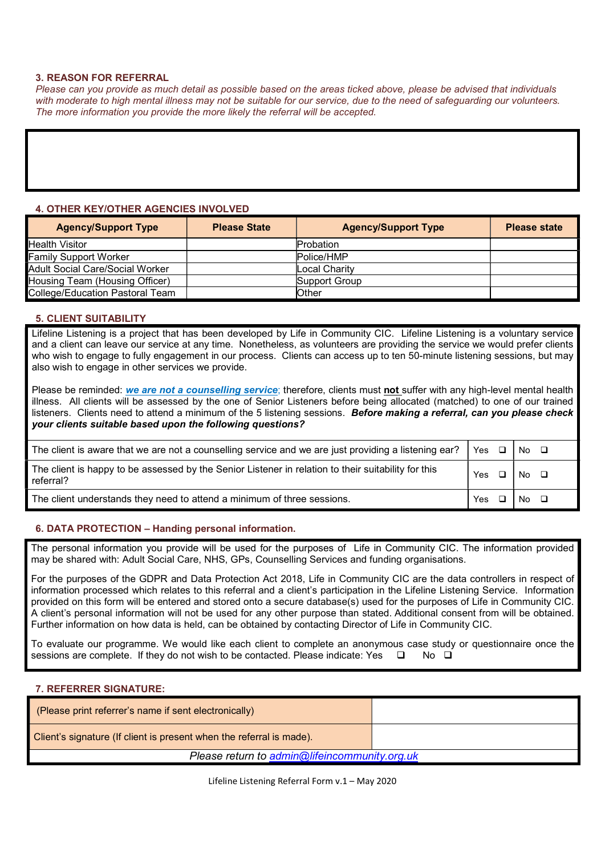#### 3. REASON FOR REFERRAL

Please can you provide as much detail as possible based on the areas ticked above, please be advised that individuals with moderate to high mental illness may not be suitable for our service, due to the need of safeguarding our volunteers. The more information you provide the more likely the referral will be accepted.

# 4. OTHER KEY/OTHER AGENCIES INVOLVED

| <b>Agency/Support Type</b>      | <b>Please State</b> | <b>Agency/Support Type</b> | <b>Please state</b> |
|---------------------------------|---------------------|----------------------------|---------------------|
| Health Visitor                  |                     | Probation                  |                     |
| <b>Family Support Worker</b>    |                     | Police/HMP                 |                     |
| Adult Social Care/Social Worker |                     | Local Charity              |                     |
| Housing Team (Housing Officer)  |                     | Support Group              |                     |
| College/Education Pastoral Team |                     | Other                      |                     |

# 5. CLIENT SUITABILITY

Lifeline Listening is a project that has been developed by Life in Community CIC. Lifeline Listening is a voluntary service and a client can leave our service at any time. Nonetheless, as volunteers are providing the service we would prefer clients who wish to engage to fully engagement in our process. Clients can access up to ten 50-minute listening sessions, but may also wish to engage in other services we provide.

Please be reminded: we are not a counselling service; therefore, clients must not suffer with any high-level mental health illness. All clients will be assessed by the one of Senior Listeners before being allocated (matched) to one of our trained listeners. Clients need to attend a minimum of the 5 listening sessions. Before making a referral, can you please check your clients suitable based upon the following questions?

| The client is aware that we are not a counselling service and we are just providing a listening ear?             | $Yes \Box$ | $No$ $\Box$                                          |  |
|------------------------------------------------------------------------------------------------------------------|------------|------------------------------------------------------|--|
| The client is happy to be assessed by the Senior Listener in relation to their suitability for this<br>referral? | Yes        | $\overline{\phantom{a}}$ No $\overline{\phantom{a}}$ |  |
| The client understands they need to attend a minimum of three sessions.                                          | Yes        | N٥                                                   |  |

# 6. DATA PROTECTION – Handing personal information.

The personal information you provide will be used for the purposes of Life in Community CIC. The information provided may be shared with: Adult Social Care, NHS, GPs, Counselling Services and funding organisations.

For the purposes of the GDPR and Data Protection Act 2018, Life in Community CIC are the data controllers in respect of information processed which relates to this referral and a client's participation in the Lifeline Listening Service. Information provided on this form will be entered and stored onto a secure database(s) used for the purposes of Life in Community CIC. A client's personal information will not be used for any other purpose than stated. Additional consent from will be obtained. Further information on how data is held, can be obtained by contacting Director of Life in Community CIC.

To evaluate our programme. We would like each client to complete an anonymous case study or questionnaire once the sessions are complete. If they do not wish to be contacted. Please indicate: Yes  $\Box$  No  $\Box$ 

# 7. REFERRER SIGNATURE:

| (Please print referrer's name if sent electronically)                |  |  |  |  |  |  |
|----------------------------------------------------------------------|--|--|--|--|--|--|
| Client's signature (If client is present when the referral is made). |  |  |  |  |  |  |
| Please return to admin@lifeincommunity.org.uk                        |  |  |  |  |  |  |